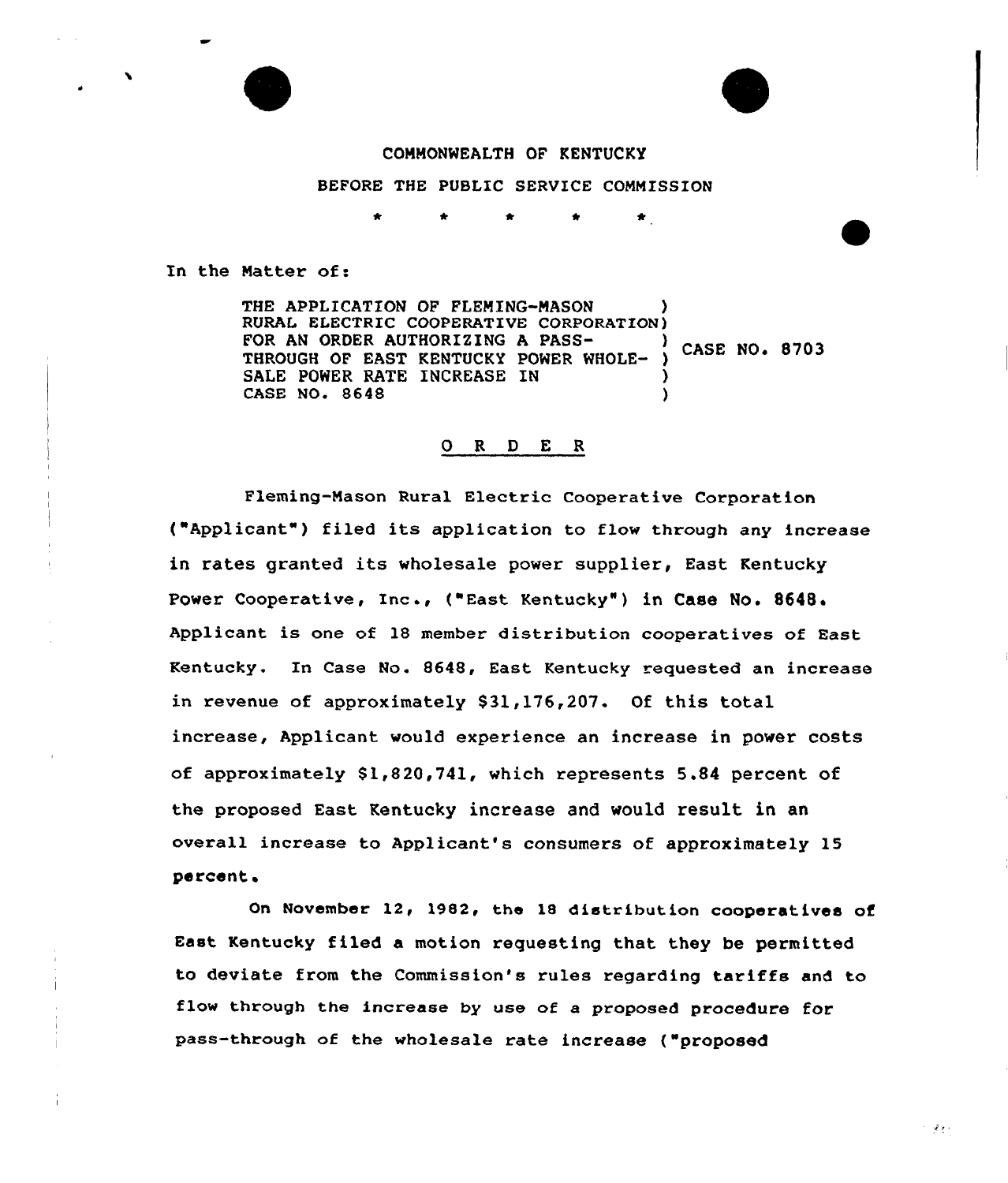# COMMONWEALTH OF KENTUCKY

BEFORE THE PUBLIC SERVICE COMMISSION

In the Matter of:

THE APPLICATION OF FLEMING-MASON RURAL ELECTRIC COOPERATIVE CORPORATION) FOR AN ORDER AUTHORIZING A PASS-**CASE NO. 8703** THROUGH OF EAST KENTUCKY POWER WHOLE-SALE POWER RATE INCREASE IN CASE NO. 8648 )

## 0 R 0 E <sup>R</sup>

Fleming-Mason Rural Electric Cooperative Corporation ("Applicant") filed its application to flow through any increase in rates granted its wholesale power supplier, East Kentucky Power Cooperative, Inc ., ("East Kentucky" ) in Case No. 8648. Applicant is one of 18 member distribution cooperatives of East Kentucky. In Case No. 8648, East Kentucky requested an increase in revenue of approximately \$31,176,207. Of this total increase, Applicant would experience an increase in power costs of approximately 81,820,741, which represents 5.84 percent of the proposed East Kentucky increase and would result in an overall increase to Applicant's consumers of approximately 15 percent.

On November 12, 1982, the 18 distribution cooperatives of East Kentucky filed a motion requesting that they be permitted to deviate from the Commission's rules regarding tariffs and to f1ow through the increase by use of a proposed procedure for pass-through of the wholesale rate increase ("proposed

 $\sim 100$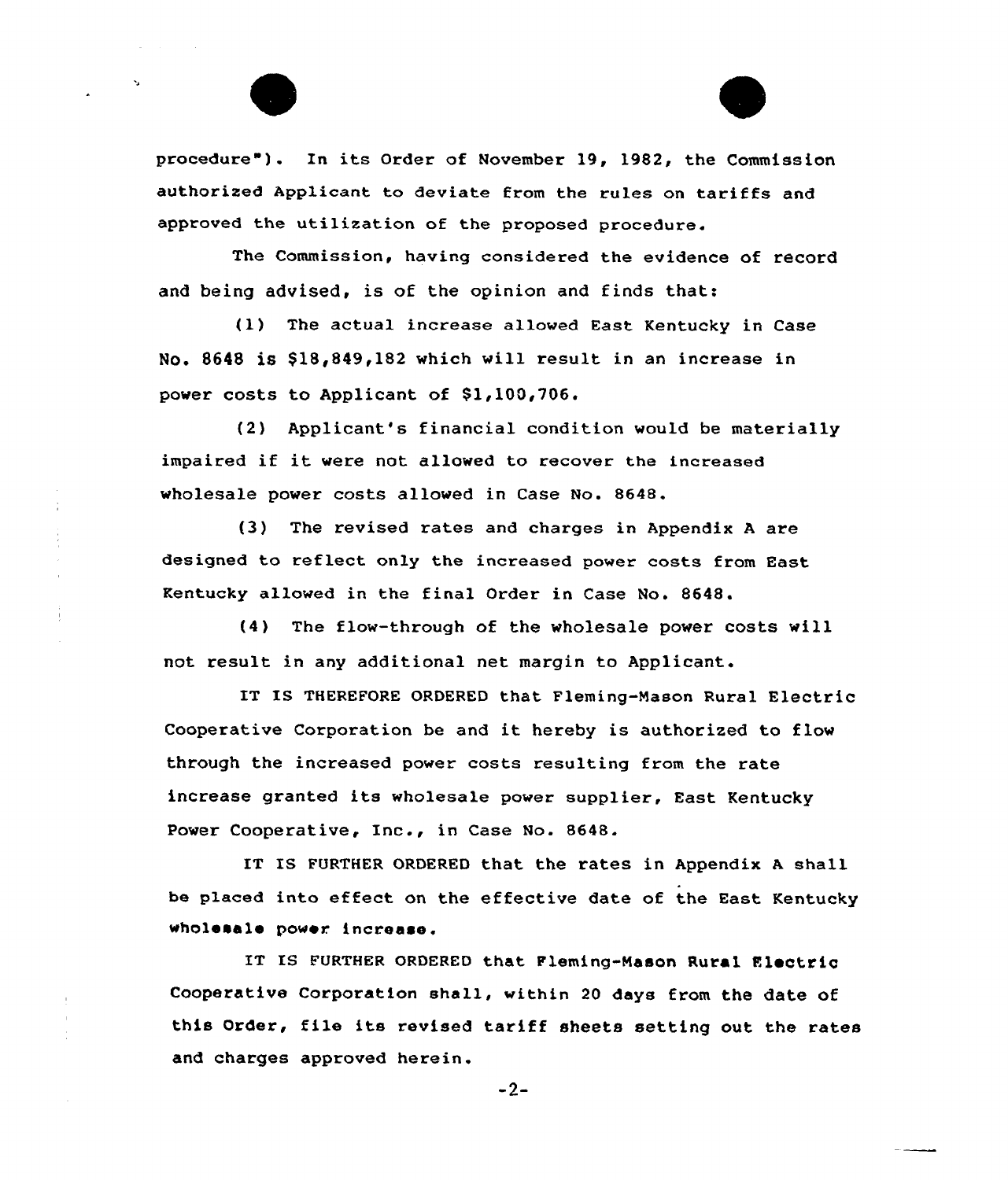procedure"). In its Order of November 19, 1982, the Commission authorized Applicant to deviate from the rules on tariffs and approved the utilization of the proposed procedure.

The Commission, having considered the evidence of record and being advised, is of the opinion and finds that:

(1) The actual increase allowed East Kentucky in Case No. 8648 is \$18,849,182 which will result in an increase in power costs to Applicant of \$1,100,706.

(2) Applicant's financial condition would be materially impaired if it were not allowed to recover the increased wholesale power costs allowed in Case No. 8648.

(3) The revised rates and charges in Appendix <sup>A</sup> are designed to reflect only the increased power costs from East Kentucky allowed in the final Order in Case No. 8648.

(4) The flow-through of the wholesale power costs will not result in any additional net margin to Applicant..

IT IS THEREFORE ORDERED that Fleming-Nason Rural Electric Cooperative Corporation be and it hereby is authorized to flow through the increased power costs resulting from the rate increase granted its wholesale power supplier, East Kentucky Power Cooperative, Inc., in Case No. 8648.

IT IS FURTHER ORDERED that the rates in Appendix A shall be placed into effect on the effective date of the East Kentucky wholesale power increase.

IT IS FURTHER ORDERED that Fleming-Nason Rural Electric Cooperative Corporation shall, within 20 days from the date of this Order, file its revised tariff sheets setting out the rates and charges approved herein.

 $-2-$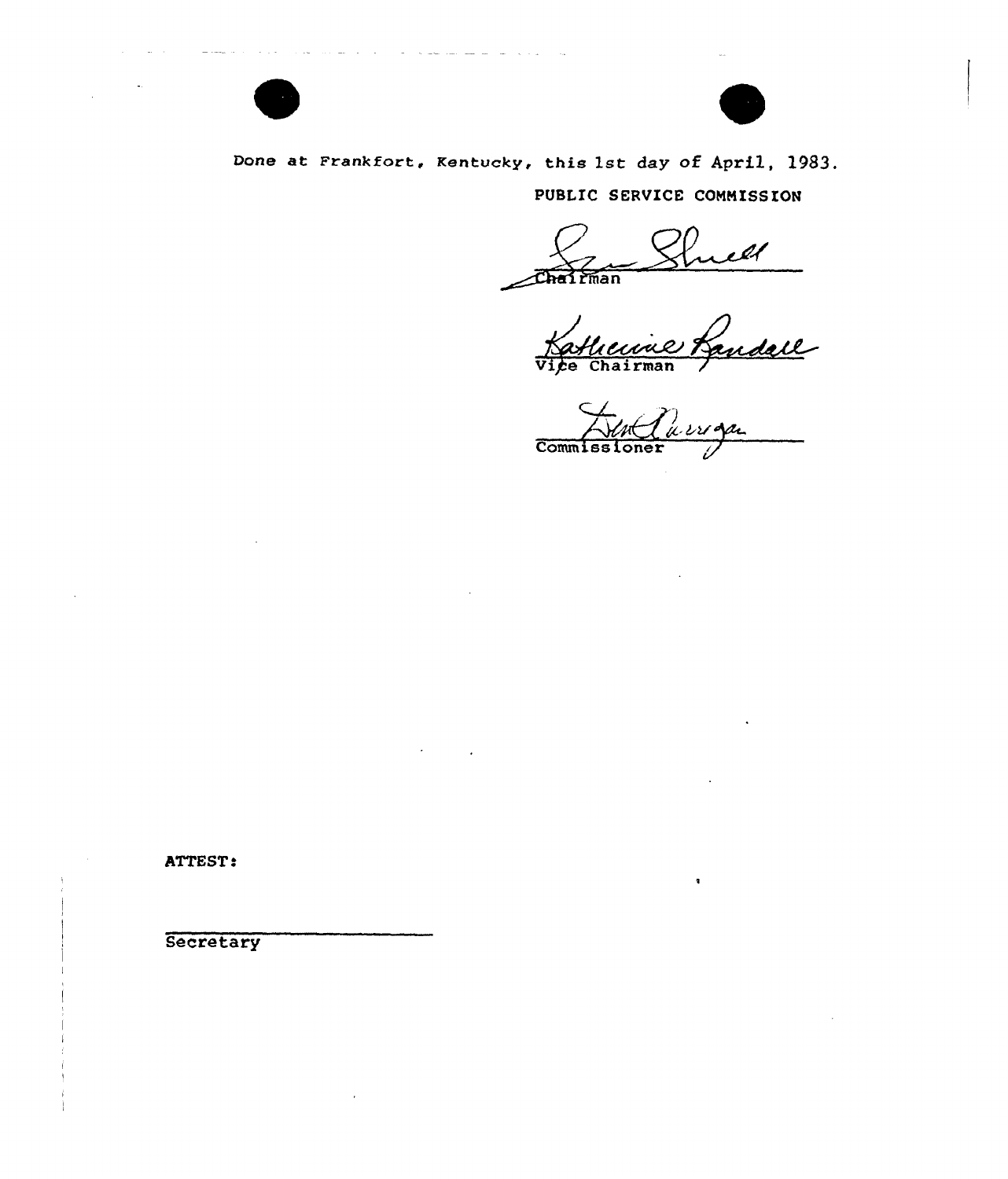

Done at Frankfort, Kentucky, this 1st day of April, 1983.

PUBLIC SERVICE COMMISSION

Enell - $\widehat{\text{Char}}$  $\widehat{\text{Eman}}$ 

Parroya Commissioner

ATTEST:

يتأدمن التداري التاريخ والمحارب المتحد

Secretary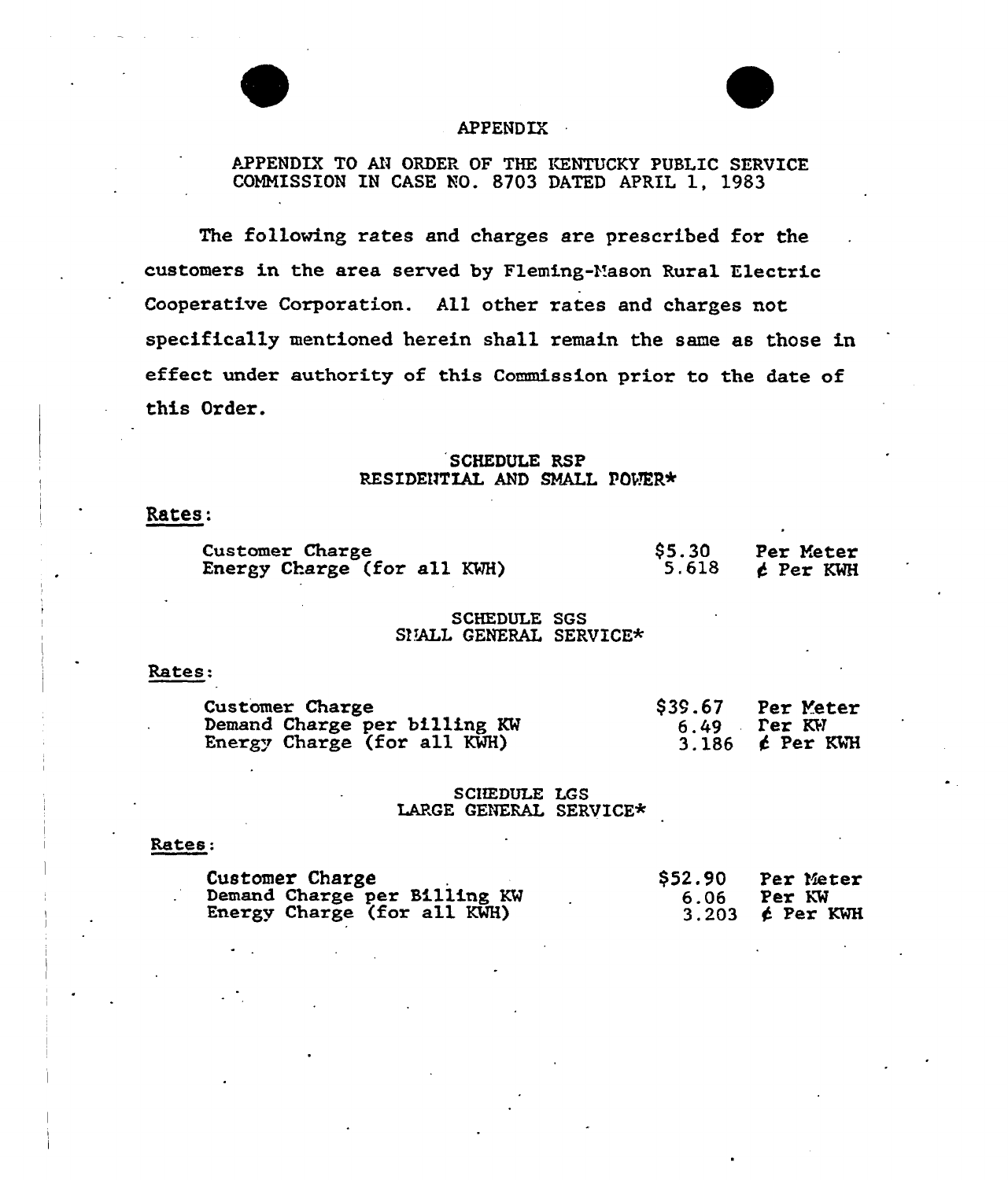

# APPENDIX

# APPENDIX TO AN ORDER OF THE KENTUCKY PUBLIC SERVICE COMMISSION IN CASE NO. 8703 DATED APRIL 1, 1983

The following rates and charges are prescribed for the customexs in the area served by Fleming-Vason Rural Electric Cooperative Corporation. All other rates and charges not specifica11y mentioned herein shall remain the sane as those in effect under authority of this Commission prior to the date of this Order.

# SCHEDULE RSP RESIDENTIAL AND SMALL POWER\*

# Rates:

| Customer Charge             | \$5.30 | Per Meter         |
|-----------------------------|--------|-------------------|
| Energy Charge (for all KWH) | 5.618  | $\epsilon$ Per KW |

## SCHEDULE SGS SIJALL GENERAL SERVICE\*

### Rates:

| Customer Charge              | \$39.67 Per Meter      |
|------------------------------|------------------------|
| Demand Charge per billing KW | $6.49$ Per KW          |
| Energy Charge (for all KWH)  | 3.186 <b>c</b> Per KWH |

# SCIIEDULE LGS LARGE GENERAL SERVICE\*

## Rates:

| Customer Charge                                             | \$52.90 | Per Meter                          |
|-------------------------------------------------------------|---------|------------------------------------|
| Demand Charge per Billing KW<br>Energy Charge (for all KWH) | 6.06    | Per KW<br>3.203 $\epsilon$ Per KWH |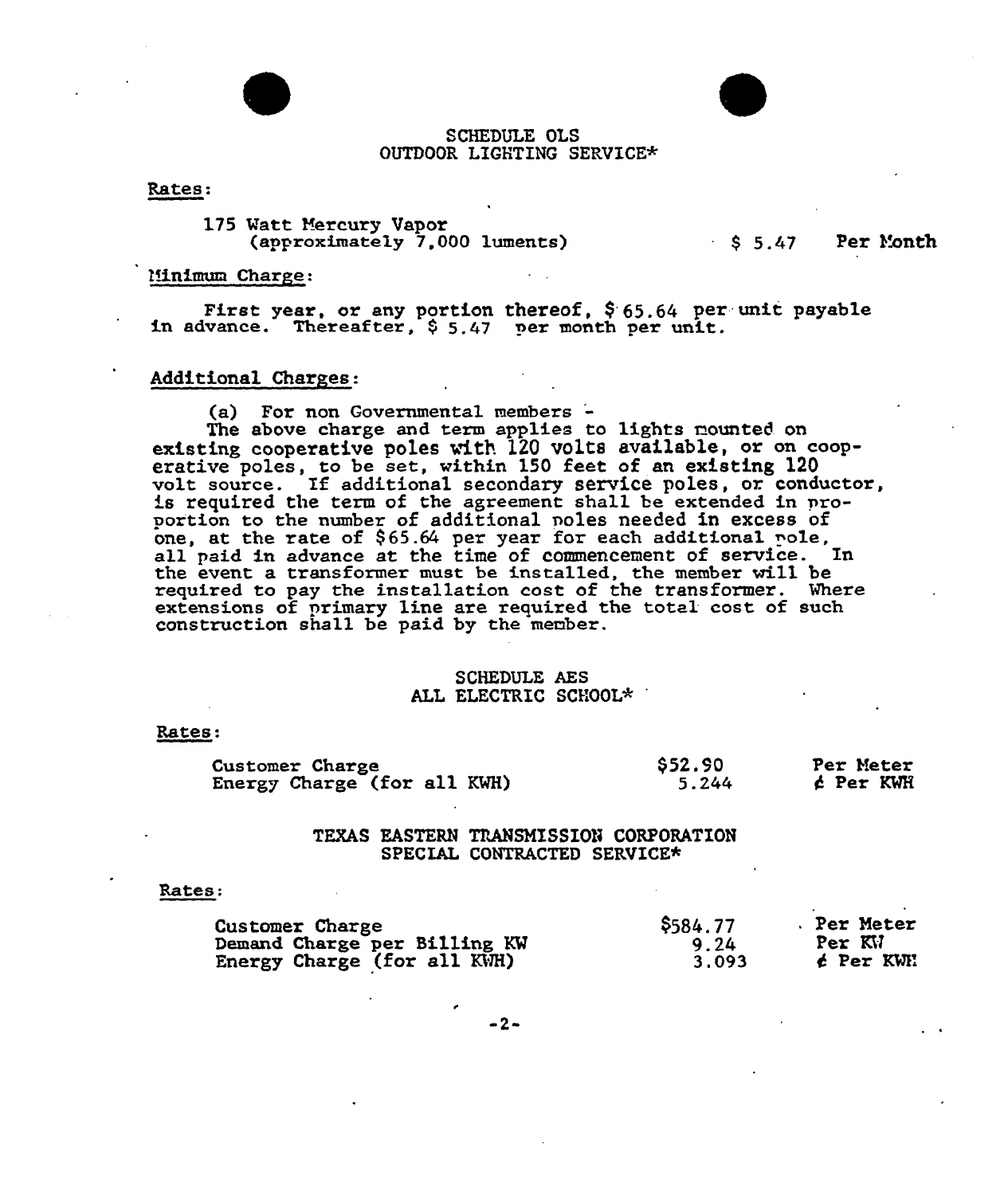

#### Rates:

175 Vatt Mercury Vapor (approximately 7,000 luments}

# $$5.47$  Per Month

#### Minimum Charge:

First year, or any portion thereof,  $$65.64$  per unit payable in advance. Thereafter,  $$5.47$  per month per unit.

# Additional Charges:

(a) For non Governmental members '-

The above charge and term applies to lights nounted on existing cooperative poles with 120 volts available, or on cooperative poles, to be set, within 150 feet of an existing 120 volt source. If additional secondary service poles, or conductor is required the term of the agreement shall be extended in proportion to the number of additional poles needed in excess of one, at the rate of  $$65.64$  per year for each additional pole, all paid in advance at the time of commencement of service. In the event a transformer must be installed, the member will be required to pay the insta11ation cost of the transformer. Vhere extensions of primary line are required the total cost of such construction shall be paid by the member.

# SCHEDULE AES ALL ELECTRIC SCHOOL\*

Rates

| Customer Charge             | \$52.90 | Per Meter |
|-----------------------------|---------|-----------|
| Energy Charge (for all KWH) | 5.244   | ć Per KWH |

# TEXAS EASTERN TRANSMISSION CORPORATION SPECIAL CONTRACTED SERVICE\*

#### Rates:

| Customer Charge              | \$584.77 | . Per Meter |
|------------------------------|----------|-------------|
| Demand Charge per Billing KW | 9.24     | Per KV      |
| Energy Charge (for all KWH)  | 3.093    | é Per KWH   |

 $-2-$